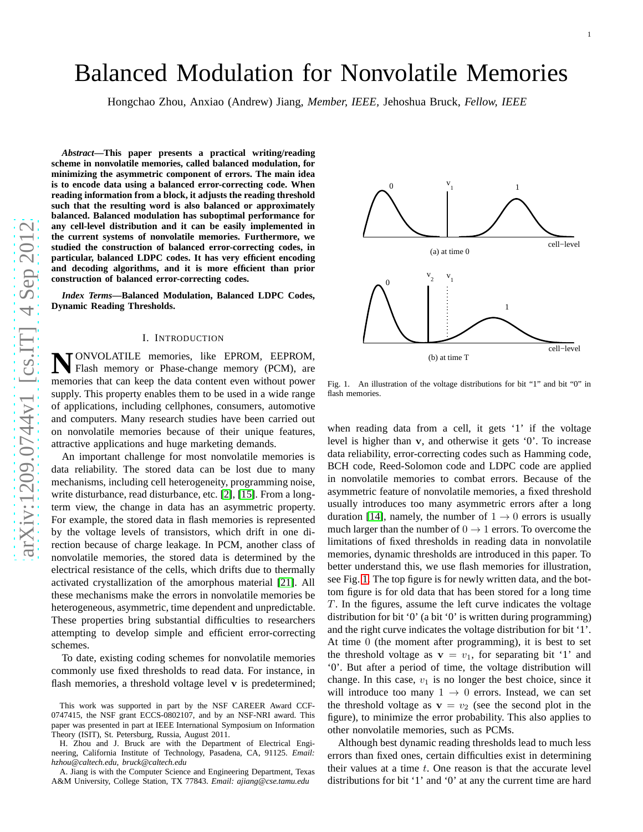# Balanced Modulation for Nonvolatile Memories

Hongchao Zhou, Anxiao (Andrew) Jiang, *Member, IEEE,* Jehoshua Bruck, *Fellow, IEEE*

*Abstract***—This paper presents a practical writing/reading scheme in nonvolatile memories, called balanced modulation, for minimizing the asymmetric component of errors. The main ide a is to encode data using a balanced error-correcting code. When reading information from a block, it adjusts the reading threshold such that the resulting word is also balanced or approximately balanced. Balanced modulation has suboptimal performance for any cell-level distribution and it can be easily implemented in the current systems of nonvolatile memories. Furthermore, we studied the construction of balanced error-correcting codes, in particular, balanced LDPC codes. It has very efficient encoding and decoding algorithms, and it is more efficient than prior construction of balanced error-correcting codes.**

*Index Terms***—Balanced Modulation, Balanced LDPC Codes, Dynamic Reading Thresholds.**

#### I. INTRODUCTION

**N** ONVOLATILE memories, like EPROM, EEPROM, Flash memory or Phase-change memory (PCM), are memories that can keep the data content even without power ONVOLATILE memories, like EPROM, EEPROM, Flash memory or Phase-change memory (PCM), are supply. This property enables them to be used in a wide range of applications, including cellphones, consumers, automotive and computers. Many research studies have been carried out on nonvolatile memories because of their unique features, attractive applications and huge marketing demands.

An important challenge for most nonvolatile memories is data reliability. The stored data can be lost due to many mechanisms, including cell heterogeneity, programming noise, write disturbance, read disturbance, etc. [\[2\]](#page-14-0), [\[15\]](#page-14-1). From a longterm view, the change in data has an asymmetric property. For example, the stored data in flash memories is represented by the voltage levels of transistors, which drift in one direction because of charge leakage. In PCM, another class of nonvolatile memories, the stored data is determined by the electrical resistance of the cells, which drifts due to thermally activated crystallization of the amorphous material [\[21\]](#page-14-2). All these mechanisms make the errors in nonvolatile memories be heterogeneous, asymmetric, time dependent and unpredictable. These properties bring substantial difficulties to researchers attempting to develop simple and efficient error-correctin g schemes.

To date, existing coding schemes for nonvolatile memories commonly use fixed thresholds to read data. For instance, in flash memories, a threshold voltage level v is predetermined;



<span id="page-0-0"></span>Fig. 1. An illustration of the voltage distributions for bit "1" and bit "0" in flash memories.

when reading data from a cell, it gets '1' if the voltage level is higher than v, and otherwise it gets '0'. To increase data reliability, error-correcting codes such as Hamming code, BCH code, Reed-Solomon code and LDPC code are applied in nonvolatile memories to combat errors. Because of the asymmetric feature of nonvolatile memories, a fixed threshold usually introduces too many asymmetric errors after a long duration [\[14\]](#page-14-3), namely, the number of  $1 \rightarrow 0$  errors is usually much larger than the number of  $0 \rightarrow 1$  errors. To overcome the limitations of fixed thresholds in reading data in nonvolatile memories, dynamic thresholds are introduced in this paper. To better understand this, we use flash memories for illustration, see Fig. [1.](#page-0-0) The top figure is for newly written data, and the bot tom figure is for old data that has been stored for a long time  $T$ . In the figures, assume the left curve indicates the voltage distribution for bit '0' (a bit '0' is written during programming) and the right curve indicates the voltage distribution for bit '1'. At time 0 (the moment after programming), it is best to set the threshold voltage as  $v = v_1$ , for separating bit '1' and '0'. But after a period of time, the voltage distribution wil l change. In this case,  $v_1$  is no longer the best choice, since it will introduce too many  $1 \rightarrow 0$  errors. Instead, we can set the threshold voltage as  $v = v_2$  (see the second plot in the figure), to minimize the error probability. This also applies to other nonvolatile memories, such as PCMs.

Although best dynamic reading thresholds lead to much less errors than fixed ones, certain difficulties exist in determining their values at a time  $t$ . One reason is that the accurate level distributions for bit '1' and '0' at any the current time are hard

This work was supported in part by the NSF CAREER Award CCF-0747415, the NSF grant ECCS-0802107, and by an NSF-NRI award. This paper was presented in part at IEEE International Symposium on Information Theory (ISIT), St. Petersburg, Russia, August 2011.

H. Zhou and J. Bruck are with the Department of Electrical Engineering, California Institute of Technology, Pasadena, CA, 91125. *Email: hzhou@caltech.edu, bruck@caltech.edu*

A. Jiang is with the Computer Science and Engineering Department, Texas A&M University, College Station, TX 77843. *Email: ajiang@cse.tamu.edu*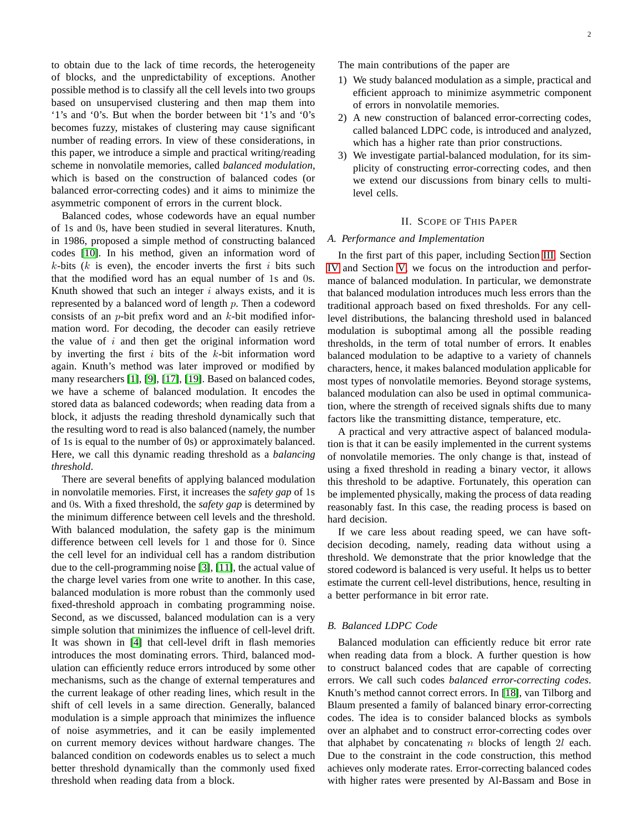to obtain due to the lack of time records, the heterogeneity of blocks, and the unpredictability of exceptions. Another possible method is to classify all the cell levels into two groups based on unsupervised clustering and then map them into '1's and '0's. But when the border between bit '1's and '0's becomes fuzzy, mistakes of clustering may cause significant number of reading errors. In view of these considerations, in this paper, we introduce a simple and practical writing/reading scheme in nonvolatile memories, called *balanced modulation*, which is based on the construction of balanced codes (or balanced error-correcting codes) and it aims to minimize the asymmetric component of errors in the current block.

Balanced codes, whose codewords have an equal number of 1s and 0s, have been studied in several literatures. Knuth, in 1986, proposed a simple method of constructing balanced codes [\[10\]](#page-14-4). In his method, given an information word of  $k$ -bits ( $k$  is even), the encoder inverts the first  $i$  bits such that the modified word has an equal number of 1s and 0s. Knuth showed that such an integer  $i$  always exists, and it is represented by a balanced word of length p. Then a codeword consists of an  $p$ -bit prefix word and an  $k$ -bit modified information word. For decoding, the decoder can easily retrieve the value of  $i$  and then get the original information word by inverting the first  $i$  bits of the  $k$ -bit information word again. Knuth's method was later improved or modified by many researchers [\[1\]](#page-14-5), [\[9\]](#page-14-6), [\[17\]](#page-14-7), [\[19\]](#page-14-8). Based on balanced codes, we have a scheme of balanced modulation. It encodes the stored data as balanced codewords; when reading data from a block, it adjusts the reading threshold dynamically such that the resulting word to read is also balanced (namely, the number of 1s is equal to the number of 0s) or approximately balanced. Here, we call this dynamic reading threshold as a *balancing threshold*.

There are several benefits of applying balanced modulation in nonvolatile memories. First, it increases the *safety gap* of 1s and 0s. With a fixed threshold, the *safety gap* is determined by the minimum difference between cell levels and the threshold. With balanced modulation, the safety gap is the minimum difference between cell levels for 1 and those for 0. Since the cell level for an individual cell has a random distribution due to the cell-programming noise [\[3\]](#page-14-9), [\[11\]](#page-14-10), the actual value of the charge level varies from one write to another. In this case, balanced modulation is more robust than the commonly used fixed-threshold approach in combating programming noise. Second, as we discussed, balanced modulation can is a very simple solution that minimizes the influence of cell-level drift. It was shown in [\[4\]](#page-14-11) that cell-level drift in flash memories introduces the most dominating errors. Third, balanced modulation can efficiently reduce errors introduced by some other mechanisms, such as the change of external temperatures and the current leakage of other reading lines, which result in the shift of cell levels in a same direction. Generally, balanced modulation is a simple approach that minimizes the influence of noise asymmetries, and it can be easily implemented on current memory devices without hardware changes. The balanced condition on codewords enables us to select a much better threshold dynamically than the commonly used fixed threshold when reading data from a block.

The main contributions of the paper are

- 1) We study balanced modulation as a simple, practical and efficient approach to minimize asymmetric component of errors in nonvolatile memories.
- 2) A new construction of balanced error-correcting codes, called balanced LDPC code, is introduced and analyzed, which has a higher rate than prior constructions.
- 3) We investigate partial-balanced modulation, for its simplicity of constructing error-correcting codes, and then we extend our discussions from binary cells to multilevel cells.

# II. SCOPE OF THIS PAPER

## *A. Performance and Implementation*

In the first part of this paper, including Section [III,](#page-2-0) Section [IV](#page-3-0) and Section [V,](#page-4-0) we focus on the introduction and performance of balanced modulation. In particular, we demonstrate that balanced modulation introduces much less errors than the traditional approach based on fixed thresholds. For any celllevel distributions, the balancing threshold used in balanced modulation is suboptimal among all the possible reading thresholds, in the term of total number of errors. It enables balanced modulation to be adaptive to a variety of channels characters, hence, it makes balanced modulation applicable for most types of nonvolatile memories. Beyond storage systems, balanced modulation can also be used in optimal communication, where the strength of received signals shifts due to many factors like the transmitting distance, temperature, etc.

A practical and very attractive aspect of balanced modulation is that it can be easily implemented in the current systems of nonvolatile memories. The only change is that, instead of using a fixed threshold in reading a binary vector, it allows this threshold to be adaptive. Fortunately, this operation can be implemented physically, making the process of data reading reasonably fast. In this case, the reading process is based on hard decision.

If we care less about reading speed, we can have softdecision decoding, namely, reading data without using a threshold. We demonstrate that the prior knowledge that the stored codeword is balanced is very useful. It helps us to better estimate the current cell-level distributions, hence, resulting in a better performance in bit error rate.

## *B. Balanced LDPC Code*

Balanced modulation can efficiently reduce bit error rate when reading data from a block. A further question is how to construct balanced codes that are capable of correcting errors. We call such codes *balanced error-correcting codes*. Knuth's method cannot correct errors. In [\[18\]](#page-14-12), van Tilborg and Blaum presented a family of balanced binary error-correcting codes. The idea is to consider balanced blocks as symbols over an alphabet and to construct error-correcting codes over that alphabet by concatenating  $n$  blocks of length  $2l$  each. Due to the constraint in the code construction, this method achieves only moderate rates. Error-correcting balanced codes with higher rates were presented by Al-Bassam and Bose in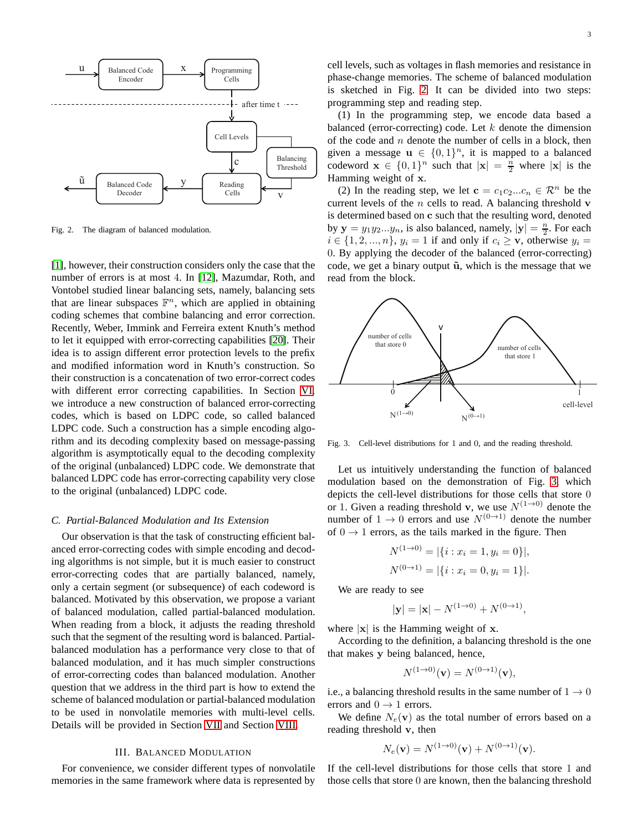

<span id="page-2-1"></span>Fig. 2. The diagram of balanced modulation.

[\[1\]](#page-14-5), however, their construction considers only the case that the number of errors is at most 4. In [\[12\]](#page-14-13), Mazumdar, Roth, and Vontobel studied linear balancing sets, namely, balancing sets that are linear subspaces  $\mathbb{F}^n$ , which are applied in obtaining coding schemes that combine balancing and error correction. Recently, Weber, Immink and Ferreira extent Knuth's method to let it equipped with error-correcting capabilities [\[20\]](#page-14-14). Their idea is to assign different error protection levels to the prefix and modified information word in Knuth's construction. So their construction is a concatenation of two error-correct codes with different error correcting capabilities. In Section [VI,](#page-5-0) we introduce a new construction of balanced error-correcting codes, which is based on LDPC code, so called balanced LDPC code. Such a construction has a simple encoding algorithm and its decoding complexity based on message-passing algorithm is asymptotically equal to the decoding complexity of the original (unbalanced) LDPC code. We demonstrate that balanced LDPC code has error-correcting capability very close to the original (unbalanced) LDPC code.

# *C. Partial-Balanced Modulation and Its Extension*

Our observation is that the task of constructing efficient balanced error-correcting codes with simple encoding and decoding algorithms is not simple, but it is much easier to construct error-correcting codes that are partially balanced, namely, only a certain segment (or subsequence) of each codeword is balanced. Motivated by this observation, we propose a variant of balanced modulation, called partial-balanced modulation. When reading from a block, it adjusts the reading threshold such that the segment of the resulting word is balanced. Partialbalanced modulation has a performance very close to that of balanced modulation, and it has much simpler constructions of error-correcting codes than balanced modulation. Another question that we address in the third part is how to extend the scheme of balanced modulation or partial-balanced modulation to be used in nonvolatile memories with multi-level cells. Details will be provided in Section [VII](#page-11-0) and Section [VIII.](#page-12-0)

# III. BALANCED MODULATION

<span id="page-2-0"></span>For convenience, we consider different types of nonvolatile memories in the same framework where data is represented by cell levels, such as voltages in flash memories and resistance in phase-change memories. The scheme of balanced modulation is sketched in Fig. [2.](#page-2-1) It can be divided into two steps: programming step and reading step.

(1) In the programming step, we encode data based a balanced (error-correcting) code. Let  $k$  denote the dimension of the code and  $n$  denote the number of cells in a block, then given a message  $\mathbf{u} \in \{0,1\}^n$ , it is mapped to a balanced codeword  $\mathbf{x} \in \{0,1\}^n$  such that  $|\mathbf{x}| = \frac{n}{2}$  where  $|\mathbf{x}|$  is the Hamming weight of x.

(2) In the reading step, we let  $\mathbf{c} = c_1 c_2 ... c_n \in \mathcal{R}^n$  be the current levels of the  $n$  cells to read. A balancing threshold  $\bf{v}$ is determined based on c such that the resulting word, denoted by  $y = y_1 y_2 ... y_n$ , is also balanced, namely,  $|y| = \frac{n}{2}$ . For each  $i \in \{1, 2, ..., n\}, y_i = 1$  if and only if  $c_i \geq \mathbf{v}$ , otherwise  $y_i =$ 0. By applying the decoder of the balanced (error-correcting) code, we get a binary output  $\tilde{u}$ , which is the message that we read from the block.



<span id="page-2-2"></span>Fig. 3. Cell-level distributions for 1 and 0, and the reading threshold.

Let us intuitively understanding the function of balanced modulation based on the demonstration of Fig. [3,](#page-2-2) which depicts the cell-level distributions for those cells that store 0 or 1. Given a reading threshold v, we use  $N^{(1\rightarrow0)}$  denote the number of  $1 \rightarrow 0$  errors and use  $N^{(0 \rightarrow 1)}$  denote the number of  $0 \rightarrow 1$  errors, as the tails marked in the figure. Then

$$
N^{(1\to 0)} = |\{i : x_i = 1, y_i = 0\}|,
$$
  

$$
N^{(0\to 1)} = |\{i : x_i = 0, y_i = 1\}|.
$$

We are ready to see

$$
|\mathbf{y}| = |\mathbf{x}| - N^{(1 \to 0)} + N^{(0 \to 1)},
$$

where  $|x|$  is the Hamming weight of x.

According to the definition, a balancing threshold is the one that makes y being balanced, hence,

$$
N^{(1\rightarrow 0)}(\mathbf{v}) = N^{(0\rightarrow 1)}(\mathbf{v}),
$$

i.e., a balancing threshold results in the same number of  $1 \rightarrow 0$ errors and  $0 \rightarrow 1$  errors.

We define  $N_e(\mathbf{v})$  as the total number of errors based on a reading threshold v, then

$$
N_e(\mathbf{v}) = N^{(1 \to 0)}(\mathbf{v}) + N^{(0 \to 1)}(\mathbf{v}).
$$

If the cell-level distributions for those cells that store 1 and those cells that store 0 are known, then the balancing threshold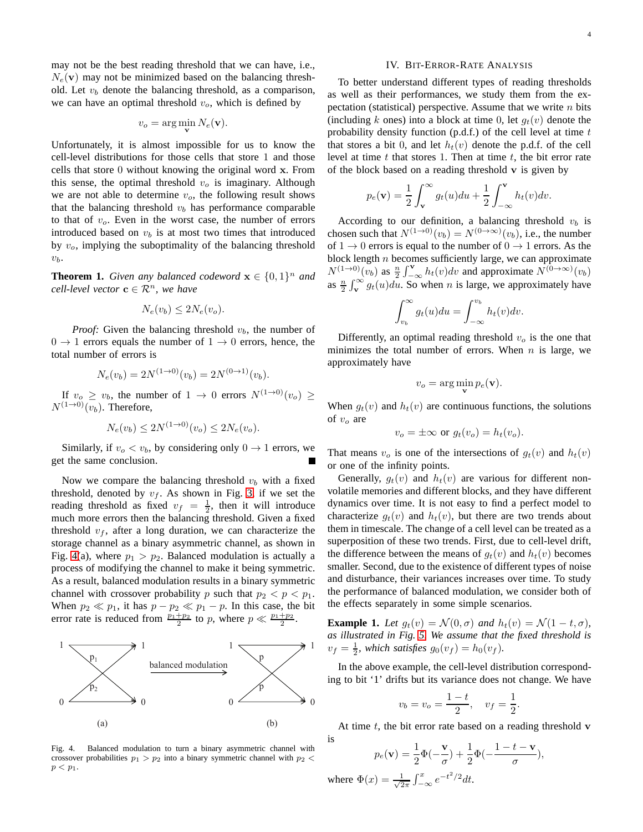may not be the best reading threshold that we can have, i.e.,  $N_e(\mathbf{v})$  may not be minimized based on the balancing threshold. Let  $v_b$  denote the balancing threshold, as a comparison, we can have an optimal threshold  $v<sub>o</sub>$ , which is defined by

$$
v_o = \arg\min_{\mathbf{v}} N_e(\mathbf{v}).
$$

Unfortunately, it is almost impossible for us to know the cell-level distributions for those cells that store 1 and those cells that store 0 without knowing the original word x. From this sense, the optimal threshold  $v<sub>o</sub>$  is imaginary. Although we are not able to determine  $v<sub>o</sub>$ , the following result shows that the balancing threshold  $v<sub>b</sub>$  has performance comparable to that of  $v<sub>o</sub>$ . Even in the worst case, the number of errors introduced based on  $v<sub>b</sub>$  is at most two times that introduced by  $v<sub>o</sub>$ , implying the suboptimality of the balancing threshold  $v_b$ .

**Theorem 1.** *Given any balanced codeword*  $\mathbf{x} \in \{0, 1\}^n$  *and*  $cell$ -level vector  $\mathbf{c} \in \mathcal{R}^n$ , we have

$$
N_e(v_b) \le 2N_e(v_o).
$$

*Proof:* Given the balancing threshold  $v<sub>b</sub>$ , the number of  $0 \rightarrow 1$  errors equals the number of  $1 \rightarrow 0$  errors, hence, the total number of errors is

$$
N_e(v_b) = 2N^{(1 \to 0)}(v_b) = 2N^{(0 \to 1)}(v_b).
$$

If  $v_o \ge v_b$ , the number of  $1 \to 0$  errors  $N^{(1\to0)}(v_o) \ge$  $N^{(1\rightarrow0)}(v_b)$ . Therefore,

$$
N_e(v_b) \le 2N^{(1 \to 0)}(v_o) \le 2N_e(v_o).
$$

Similarly, if  $v_o < v_b$ , by considering only  $0 \rightarrow 1$  errors, we get the same conclusion.

Now we compare the balancing threshold  $v<sub>b</sub>$  with a fixed threshold, denoted by  $v_f$ . As shown in Fig. [3,](#page-2-2) if we set the reading threshold as fixed  $v_f = \frac{1}{2}$ , then it will introduce much more errors then the balancing threshold. Given a fixed threshold  $v_f$ , after a long duration, we can characterize the storage channel as a binary asymmetric channel, as shown in Fig. [4\(](#page-3-1)a), where  $p_1 > p_2$ . Balanced modulation is actually a process of modifying the channel to make it being symmetric. As a result, balanced modulation results in a binary symmetric channel with crossover probability p such that  $p_2 < p < p_1$ . When  $p_2 \ll p_1$ , it has  $p - p_2 \ll p_1 - p$ . In this case, the bit error rate is reduced from  $\frac{p_1+p_2}{2}$  to p, where  $p \ll \frac{p_1+p_2}{2}$ .



<span id="page-3-1"></span>Fig. 4. Balanced modulation to turn a binary asymmetric channel with crossover probabilities  $p_1 > p_2$  into a binary symmetric channel with  $p_2$  <  $p < p_1$ .

#### IV. BIT-ERROR-RATE ANALYSIS

<span id="page-3-0"></span>To better understand different types of reading thresholds as well as their performances, we study them from the expectation (statistical) perspective. Assume that we write  $n$  bits (including k ones) into a block at time 0, let  $q_t(v)$  denote the probability density function  $(p.d.f.)$  of the cell level at time  $t$ that stores a bit 0, and let  $h_t(v)$  denote the p.d.f. of the cell level at time  $t$  that stores 1. Then at time  $t$ , the bit error rate of the block based on a reading threshold v is given by

$$
p_e(\mathbf{v}) = \frac{1}{2} \int_{\mathbf{v}}^{\infty} g_t(u) du + \frac{1}{2} \int_{-\infty}^{\mathbf{v}} h_t(v) dv.
$$

According to our definition, a balancing threshold  $v<sub>b</sub>$  is chosen such that  $N^{(1\rightarrow 0)}(v_b) = N^{(0\rightarrow \infty)}(v_b)$ , i.e., the number of  $1 \rightarrow 0$  errors is equal to the number of  $0 \rightarrow 1$  errors. As the block length  $n$  becomes sufficiently large, we can approximate  $N^{(1\rightarrow 0)}(v_b)$  as  $\frac{n}{2}\int_{-\infty}^{V} h_t(v)dv$  and approximate  $N^{(0\rightarrow \infty)}(v_b)$ as  $\frac{n}{2} \int_{\mathbf{v}}^{\infty} g_t(u) du$ . So when *n* is large, we approximately have

$$
\int_{v_b}^{\infty} g_t(u) du = \int_{-\infty}^{v_b} h_t(v) dv.
$$

Differently, an optimal reading threshold  $v<sub>o</sub>$  is the one that minimizes the total number of errors. When  $n$  is large, we approximately have

$$
v_o = \arg\min_{\mathbf{v}} p_e(\mathbf{v}).
$$

When  $g_t(v)$  and  $h_t(v)$  are continuous functions, the solutions of  $v<sub>o</sub>$  are

$$
v_o = \pm \infty
$$
 or  $g_t(v_o) = h_t(v_o)$ .

That means  $v_o$  is one of the intersections of  $g_t(v)$  and  $h_t(v)$ or one of the infinity points.

Generally,  $g_t(v)$  and  $h_t(v)$  are various for different nonvolatile memories and different blocks, and they have different dynamics over time. It is not easy to find a perfect model to characterize  $q_t(v)$  and  $h_t(v)$ , but there are two trends about them in timescale. The change of a cell level can be treated as a superposition of these two trends. First, due to cell-level drift, the difference between the means of  $g_t(v)$  and  $h_t(v)$  becomes smaller. Second, due to the existence of different types of noise and disturbance, their variances increases over time. To study the performance of balanced modulation, we consider both of the effects separately in some simple scenarios.

**Example 1.** Let  $g_t(v) = \mathcal{N}(0, \sigma)$  and  $h_t(v) = \mathcal{N}(1 - t, \sigma)$ , *as illustrated in Fig. [5.](#page-4-1) We assume that the fixed threshold is*  $v_f = \frac{1}{2}$ , which satisfies  $g_0(v_f) = h_0(v_f)$ .

In the above example, the cell-level distribution corresponding to bit '1' drifts but its variance does not change. We have

$$
v_b = v_o = \frac{1-t}{2}
$$
,  $v_f = \frac{1}{2}$ .

At time  $t$ , the bit error rate based on a reading threshold  $\bf{v}$ 

$$
p_e(\mathbf{v}) = \frac{1}{2}\Phi(-\frac{\mathbf{v}}{\sigma}) + \frac{1}{2}\Phi(-\frac{1-t-\mathbf{v}}{\sigma}),
$$
  

$$
\Phi(x) = \frac{1}{\sqrt{2\pi}} \int_{-\infty}^x e^{-t^2/2} dt.
$$

is

where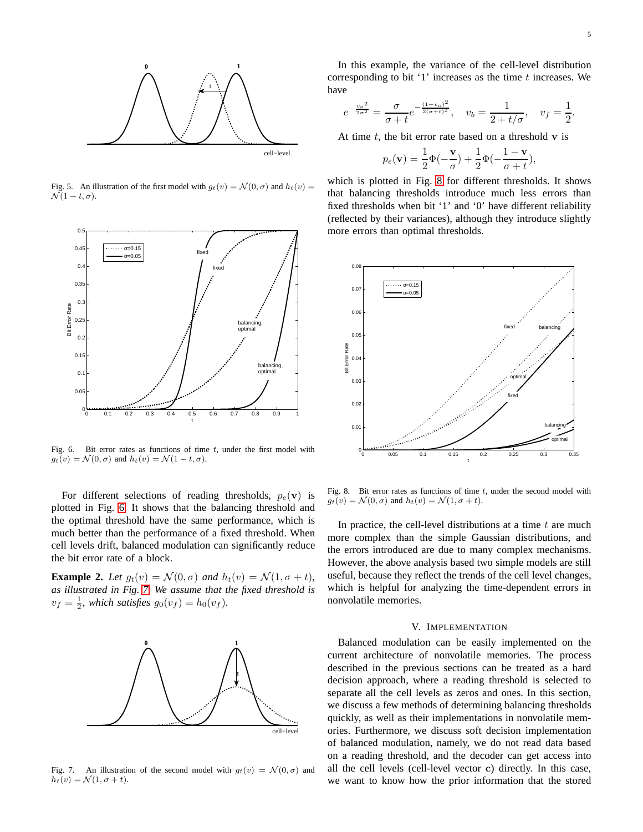

<span id="page-4-1"></span>Fig. 5. An illustration of the first model with  $g_t(v) = \mathcal{N}(0, \sigma)$  and  $h_t(v) =$  $\mathcal{N}(1-t,\sigma).$ 



<span id="page-4-2"></span>Fig. 6. Bit error rates as functions of time  $t$ , under the first model with  $g_t(v) = \mathcal{N}(0, \sigma)$  and  $h_t(v) = \mathcal{N}(1 - t, \sigma)$ .

For different selections of reading thresholds,  $p_e(\mathbf{v})$  is plotted in Fig. [6.](#page-4-2) It shows that the balancing threshold and the optimal threshold have the same performance, which is much better than the performance of a fixed threshold. When cell levels drift, balanced modulation can significantly reduce the bit error rate of a block.

**Example 2.** Let  $g_t(v) = \mathcal{N}(0, \sigma)$  and  $h_t(v) = \mathcal{N}(1, \sigma + t)$ , *as illustrated in Fig. [7.](#page-4-3) We assume that the fixed threshold is*  $v_f = \frac{1}{2}$ , which satisfies  $g_0(v_f) = h_0(v_f)$ .



<span id="page-4-3"></span>Fig. 7. An illustration of the second model with  $q_t(v) = \mathcal{N}(0, \sigma)$  and  $h_t(v) = \mathcal{N}(1, \sigma + t).$ 

In this example, the variance of the cell-level distribution corresponding to bit  $'1'$  increases as the time t increases. We have

$$
e^{-\frac{v_o^2}{2\sigma^2}} = \frac{\sigma}{\sigma + t} e^{-\frac{(1-v_o)^2}{2(\sigma + t)^2}}, \quad v_b = \frac{1}{2 + t/\sigma}, \quad v_f = \frac{1}{2}.
$$

At time  $t$ , the bit error rate based on a threshold  $v$  is

$$
p_e(\mathbf{v}) = \frac{1}{2}\Phi(-\frac{\mathbf{v}}{\sigma}) + \frac{1}{2}\Phi(-\frac{1-\mathbf{v}}{\sigma+t}),
$$

which is plotted in Fig. [8](#page-4-4) for different thresholds. It shows that balancing thresholds introduce much less errors than fixed thresholds when bit '1' and '0' have different reliability (reflected by their variances), although they introduce slightly more errors than optimal thresholds.



<span id="page-4-4"></span>Fig. 8. Bit error rates as functions of time  $t$ , under the second model with  $g_t(v) = \mathcal{N}(0, \sigma)$  and  $h_t(v) = \mathcal{N}(1, \sigma + t)$ .

In practice, the cell-level distributions at a time  $t$  are much more complex than the simple Gaussian distributions, and the errors introduced are due to many complex mechanisms. However, the above analysis based two simple models are still useful, because they reflect the trends of the cell level changes, which is helpful for analyzing the time-dependent errors in nonvolatile memories.

## V. IMPLEMENTATION

<span id="page-4-0"></span>Balanced modulation can be easily implemented on the current architecture of nonvolatile memories. The process described in the previous sections can be treated as a hard decision approach, where a reading threshold is selected to separate all the cell levels as zeros and ones. In this section, we discuss a few methods of determining balancing thresholds quickly, as well as their implementations in nonvolatile memories. Furthermore, we discuss soft decision implementation of balanced modulation, namely, we do not read data based on a reading threshold, and the decoder can get access into all the cell levels (cell-level vector c) directly. In this case, we want to know how the prior information that the stored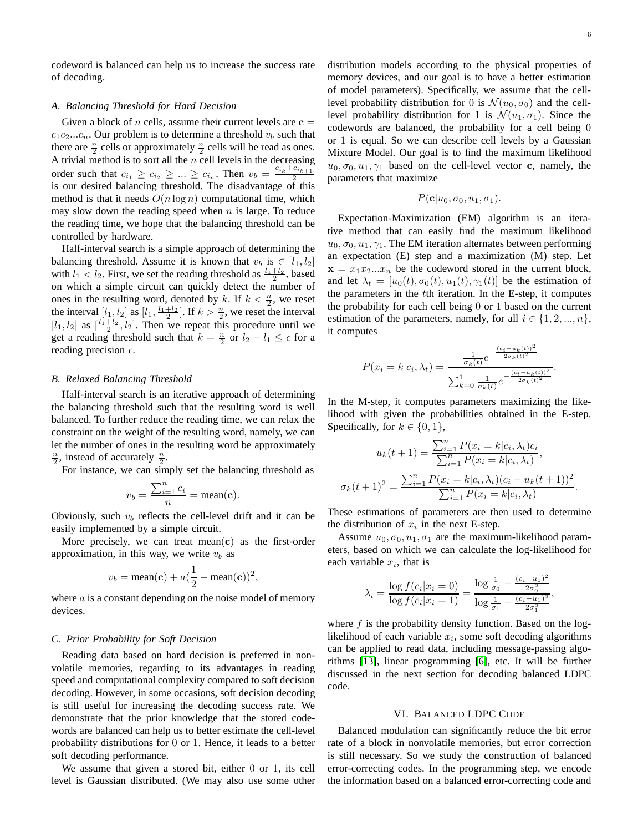codeword is balanced can help us to increase the success rate of decoding.

## *A. Balancing Threshold for Hard Decision*

Given a block of n cells, assume their current levels are  $c =$  $c_1c_2...c_n$ . Our problem is to determine a threshold  $v_b$  such that there are  $\frac{n}{2}$  cells or approximately  $\frac{n}{2}$  cells will be read as ones. A trivial method is to sort all the  $n$  cell levels in the decreasing order such that  $c_{i_1} \geq c_{i_2} \geq ... \geq c_{i_n}$ . Then  $v_b = \frac{c_{i_k} + c_{i_{k+1}}}{2}$ is our desired balancing threshold. The disadvantage of this method is that it needs  $O(n \log n)$  computational time, which may slow down the reading speed when  $n$  is large. To reduce the reading time, we hope that the balancing threshold can be controlled by hardware.

Half-interval search is a simple approach of determining the balancing threshold. Assume it is known that  $v_b$  is  $\in [l_1, l_2]$ with  $l_1 < l_2$ . First, we set the reading threshold as  $\frac{l_1 + l_2}{2}$ , based on which a simple circuit can quickly detect the number of ones in the resulting word, denoted by k. If  $k < \frac{n}{2}$ , we reset the interval  $[l_1, l_2]$  as  $[l_1, \frac{l_1+l_2}{2}]$ . If  $k > \frac{n}{2}$ , we reset the interval  $[l_1, l_2]$  as  $\left[\frac{l_1+l_2}{2}, l_2\right]$ . Then we repeat this procedure until we get a reading threshold such that  $k = \frac{n}{2}$  or  $l_2 - l_1 \leq \epsilon$  for a reading precision  $\epsilon$ .

# *B. Relaxed Balancing Threshold*

Half-interval search is an iterative approach of determining the balancing threshold such that the resulting word is well balanced. To further reduce the reading time, we can relax the constraint on the weight of the resulting word, namely, we can let the number of ones in the resulting word be approximately  $\frac{n}{2}$ , instead of accurately  $\frac{n}{2}$ .

For instance, we can simply set the balancing threshold as

$$
v_b = \frac{\sum_{i=1}^n c_i}{n} = \text{mean}(\mathbf{c}).
$$

Obviously, such  $v_b$  reflects the cell-level drift and it can be easily implemented by a simple circuit.

More precisely, we can treat mean $(c)$  as the first-order approximation, in this way, we write  $v<sub>b</sub>$  as

$$
v_b = \text{mean}(\mathbf{c}) + a(\frac{1}{2} - \text{mean}(\mathbf{c}))^2,
$$

where  $\alpha$  is a constant depending on the noise model of memory devices.

# <span id="page-5-1"></span>*C. Prior Probability for Soft Decision*

Reading data based on hard decision is preferred in nonvolatile memories, regarding to its advantages in reading speed and computational complexity compared to soft decision decoding. However, in some occasions, soft decision decoding is still useful for increasing the decoding success rate. We demonstrate that the prior knowledge that the stored codewords are balanced can help us to better estimate the cell-level probability distributions for 0 or 1. Hence, it leads to a better soft decoding performance.

We assume that given a stored bit, either 0 or 1, its cell level is Gaussian distributed. (We may also use some other distribution models according to the physical properties of memory devices, and our goal is to have a better estimation of model parameters). Specifically, we assume that the celllevel probability distribution for 0 is  $\mathcal{N}(u_0, \sigma_0)$  and the celllevel probability distribution for 1 is  $\mathcal{N}(u_1, \sigma_1)$ . Since the codewords are balanced, the probability for a cell being 0 or 1 is equal. So we can describe cell levels by a Gaussian Mixture Model. Our goal is to find the maximum likelihood  $u_0, \sigma_0, u_1, \gamma_1$  based on the cell-level vector c, namely, the parameters that maximize

$$
P(\mathbf{c}|u_0, \sigma_0, u_1, \sigma_1).
$$

Expectation-Maximization (EM) algorithm is an iterative method that can easily find the maximum likelihood  $u_0, \sigma_0, u_1, \gamma_1$ . The EM iteration alternates between performing an expectation (E) step and a maximization (M) step. Let  $x = x_1 x_2 ... x_n$  be the codeword stored in the current block, and let  $\lambda_t = [u_0(t), \sigma_0(t), u_1(t), \gamma_1(t)]$  be the estimation of the parameters in the tth iteration. In the E-step, it computes the probability for each cell being 0 or 1 based on the current estimation of the parameters, namely, for all  $i \in \{1, 2, ..., n\}$ , it computes

$$
P(x_i = k | c_i, \lambda_t) = \frac{\frac{1}{\sigma_k(t)} e^{-\frac{(c_i - u_k(t))^2}{2\sigma_k(t)^2}}}{\sum_{k=0}^1 \frac{1}{\sigma_k(t)} e^{-\frac{(c_i - u_k(t))^2}{2\sigma_k(t)^2}}}.
$$

In the M-step, it computes parameters maximizing the likelihood with given the probabilities obtained in the E-step. Specifically, for  $k \in \{0, 1\}$ ,

$$
u_k(t+1) = \frac{\sum_{i=1}^n P(x_i = k|c_i, \lambda_t)c_i}{\sum_{i=1}^n P(x_i = k|c_i, \lambda_t)},
$$

$$
(t+1)^2 = \frac{\sum_{i=1}^n P(x_i = k|c_i, \lambda_t)(c_i - u_k(t+1))^2}{\sum_{i=1}^n P(x_i = k|c_i, \lambda_t)}.
$$

These estimations of parameters are then used to determine the distribution of  $x_i$  in the next E-step.

 $\sigma_k$ 

Assume  $u_0, \sigma_0, u_1, \sigma_1$  are the maximum-likelihood parameters, based on which we can calculate the log-likelihood for each variable  $x_i$ , that is

$$
\lambda_i = \frac{\log f(c_i | x_i = 0)}{\log f(c_i | x_i = 1)} = \frac{\log \frac{1}{\sigma_0} - \frac{(c_i - u_0)^2}{2\sigma_0^2}}{\log \frac{1}{\sigma_1} - \frac{(c_i - u_1)^2}{2\sigma_1^2}},
$$

where  $f$  is the probability density function. Based on the loglikelihood of each variable  $x_i$ , some soft decoding algorithms can be applied to read data, including message-passing algorithms [\[13\]](#page-14-15), linear programming [\[6\]](#page-14-16), etc. It will be further discussed in the next section for decoding balanced LDPC code.

#### VI. BALANCED LDPC CODE

<span id="page-5-0"></span>Balanced modulation can significantly reduce the bit error rate of a block in nonvolatile memories, but error correction is still necessary. So we study the construction of balanced error-correcting codes. In the programming step, we encode the information based on a balanced error-correcting code and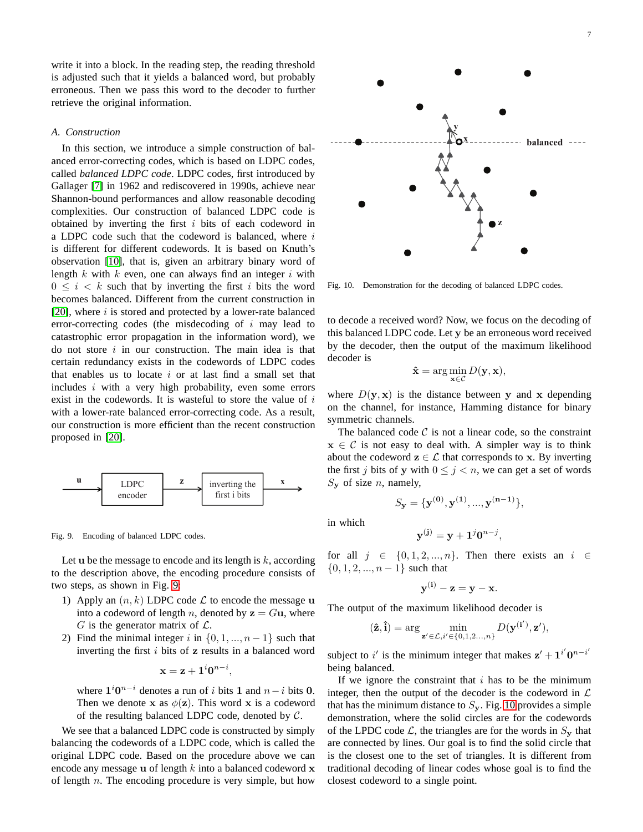write it into a block. In the reading step, the reading threshold is adjusted such that it yields a balanced word, but probably erroneous. Then we pass this word to the decoder to further retrieve the original information.

#### *A. Construction*

In this section, we introduce a simple construction of balanced error-correcting codes, which is based on LDPC codes, called *balanced LDPC code*. LDPC codes, first introduced by Gallager [\[7\]](#page-14-17) in 1962 and rediscovered in 1990s, achieve near Shannon-bound performances and allow reasonable decoding complexities. Our construction of balanced LDPC code is obtained by inverting the first  $i$  bits of each codeword in a LDPC code such that the codeword is balanced, where  $i$ is different for different codewords. It is based on Knuth's observation [\[10\]](#page-14-4), that is, given an arbitrary binary word of length  $k$  with  $k$  even, one can always find an integer  $i$  with  $0 \leq i \leq k$  such that by inverting the first i bits the word becomes balanced. Different from the current construction in [\[20\]](#page-14-14), where  $i$  is stored and protected by a lower-rate balanced error-correcting codes (the misdecoding of  $i$  may lead to catastrophic error propagation in the information word), we do not store  $i$  in our construction. The main idea is that certain redundancy exists in the codewords of LDPC codes that enables us to locate  $i$  or at last find a small set that includes  $i$  with a very high probability, even some errors exist in the codewords. It is wasteful to store the value of  $i$ with a lower-rate balanced error-correcting code. As a result, our construction is more efficient than the recent construction proposed in [\[20\]](#page-14-14).



<span id="page-6-0"></span>Fig. 9. Encoding of balanced LDPC codes.

Let  $u$  be the message to encode and its length is  $k$ , according to the description above, the encoding procedure consists of two steps, as shown in Fig. [9:](#page-6-0)

- 1) Apply an  $(n, k)$  LDPC code  $\mathcal L$  to encode the message u into a codeword of length n, denoted by  $z = Gu$ , where G is the generator matrix of  $\mathcal{L}$ .
- 2) Find the minimal integer i in  $\{0, 1, ..., n-1\}$  such that inverting the first  $i$  bits of  $z$  results in a balanced word

$$
\mathbf{x} = \mathbf{z} + \mathbf{1}^i \mathbf{0}^{n-i},
$$

where  $1^i 0^{n-i}$  denotes a run of i bits 1 and  $n-i$  bits 0. Then we denote x as  $\phi(\mathbf{z})$ . This word x is a codeword of the resulting balanced LDPC code, denoted by  $C$ .

We see that a balanced LDPC code is constructed by simply balancing the codewords of a LDPC code, which is called the original LDPC code. Based on the procedure above we can encode any message  $u$  of length  $k$  into a balanced codeword  $x$ of length  $n$ . The encoding procedure is very simple, but how



**z**

<span id="page-6-1"></span>Fig. 10. Demonstration for the decoding of balanced LDPC codes.

to decode a received word? Now, we focus on the decoding of this balanced LDPC code. Let y be an erroneous word received by the decoder, then the output of the maximum likelihood decoder is

$$
\hat{\mathbf{x}} = \arg\min_{\mathbf{x}\in\mathcal{C}} D(\mathbf{y}, \mathbf{x}),
$$

where  $D(y, x)$  is the distance between y and x depending on the channel, for instance, Hamming distance for binary symmetric channels.

The balanced code  $C$  is not a linear code, so the constraint  $x \in C$  is not easy to deal with. A simpler way is to think about the codeword  $z \in \mathcal{L}$  that corresponds to x. By inverting the first j bits of y with  $0 \le j < n$ , we can get a set of words  $S_{\mathbf{y}}$  of size *n*, namely,

$$
S_{\mathbf{y}} = {\mathbf{y}^{(0)}, \mathbf{y}^{(1)}, ..., \mathbf{y}^{(n-1)}}.
$$

in which

$$
\mathbf{y}^{(\mathbf{j})} = \mathbf{y} + \mathbf{1}^j \mathbf{0}^{n-j},
$$

for all  $j \in \{0, 1, 2, ..., n\}$ . Then there exists an  $i \in$  $\{0, 1, 2, ..., n-1\}$  such that

$$
\mathbf{y}^{(i)} - \mathbf{z} = \mathbf{y} - \mathbf{x}.
$$

The output of the maximum likelihood decoder is

$$
(\hat{\mathbf{z}}, \hat{\mathbf{i}}) = \arg\min_{\mathbf{z}' \in \mathcal{L}, i' \in \{0, 1, 2, \ldots, n\}} D(\mathbf{y}^{(\mathbf{i}')}, \mathbf{z}'),
$$

subject to i' is the minimum integer that makes  $z' + i'0^{n-i'}$ being balanced.

If we ignore the constraint that  $i$  has to be the minimum integer, then the output of the decoder is the codeword in  $\mathcal L$ that has the minimum distance to  $S_{y}$ . Fig. [10](#page-6-1) provides a simple demonstration, where the solid circles are for the codewords of the LPDC code  $\mathcal{L}$ , the triangles are for the words in  $S_{\mathbf{y}}$  that are connected by lines. Our goal is to find the solid circle that is the closest one to the set of triangles. It is different from traditional decoding of linear codes whose goal is to find the closest codeword to a single point.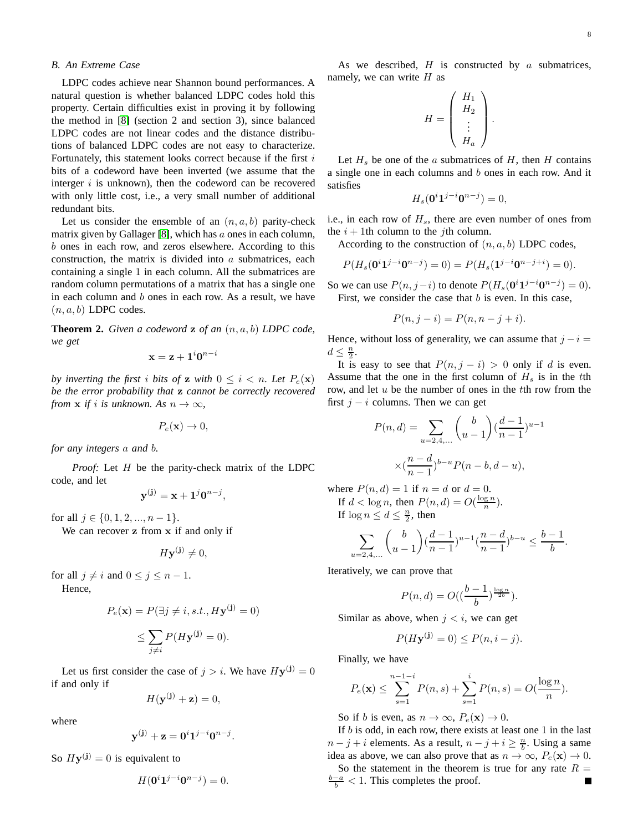## *B. An Extreme Case*

LDPC codes achieve near Shannon bound performances. A natural question is whether balanced LDPC codes hold this property. Certain difficulties exist in proving it by following the method in [\[8\]](#page-14-18) (section 2 and section 3), since balanced LDPC codes are not linear codes and the distance distributions of balanced LDPC codes are not easy to characterize. Fortunately, this statement looks correct because if the first  $i$ bits of a codeword have been inverted (we assume that the interger  $i$  is unknown), then the codeword can be recovered with only little cost, i.e., a very small number of additional redundant bits.

Let us consider the ensemble of an  $(n, a, b)$  parity-check matrix given by Gallager [\[8\]](#page-14-18), which has  $\alpha$  ones in each column, b ones in each row, and zeros elsewhere. According to this construction, the matrix is divided into  $a$  submatrices, each containing a single 1 in each column. All the submatrices are random column permutations of a matrix that has a single one in each column and b ones in each row. As a result, we have  $(n, a, b)$  LDPC codes.

**Theorem 2.** *Given a codeword* z *of an* (n, a, b) *LDPC code, we get*

$$
\mathbf{x} = \mathbf{z} + \mathbf{1}^i \mathbf{0}^{n-i}
$$

*by inverting the first i bits of* **z** *with*  $0 \leq i \leq n$ *. Let*  $P_e(\mathbf{x})$ *be the error probability that* z *cannot be correctly recovered from*  $\mathbf{x}$  *if i is unknown.* As  $n \to \infty$ ,

$$
P_e(\mathbf{x}) \to 0,
$$

*for any integers* a *and* b*.*

*Proof:* Let *H* be the parity-check matrix of the LDPC code, and let

$$
\mathbf{y}^{(\mathbf{j})} = \mathbf{x} + \mathbf{1}^j \mathbf{0}^{n-j},
$$

for all  $j \in \{0, 1, 2, ..., n-1\}$ .

We can recover z from x if and only if

$$
H\mathbf{y^{(j)}} \neq 0,
$$

for all  $j \neq i$  and  $0 \leq j \leq n - 1$ . Hence,

$$
P_e(\mathbf{x}) = P(\exists j \neq i, s.t., H\mathbf{y}^{(j)} = 0)
$$

$$
\leq \sum_{j \neq i} P(H\mathbf{y}^{(j)} = 0).
$$

Let us first consider the case of  $j > i$ . We have  $Hy^{(j)} = 0$ if and only if

$$
H(\mathbf{y}^{(\mathbf{j})} + \mathbf{z}) = 0,
$$

where

$$
\mathbf{y}^{(\mathbf{j})} + \mathbf{z} = \mathbf{0}^i \mathbf{1}^{j-i} \mathbf{0}^{n-j}.
$$

So  $Hy^{(j)} = 0$  is equivalent to

$$
H(\mathbf{0}^i \mathbf{1}^{j-i} \mathbf{0}^{n-j}) = 0.
$$

As we described,  $H$  is constructed by  $a$  submatrices, namely, we can write  $H$  as

$$
H = \left(\begin{array}{c} H_1 \\ H_2 \\ \vdots \\ H_a \end{array}\right).
$$

Let  $H_s$  be one of the a submatrices of H, then H contains a single one in each columns and b ones in each row. And it satisfies

$$
H_s(\mathbf{0}^i \mathbf{1}^{j-i} \mathbf{0}^{n-j}) = 0,
$$

i.e., in each row of  $H_s$ , there are even number of ones from the  $i + 1$ th column to the *j*th column.

According to the construction of  $(n, a, b)$  LDPC codes,

$$
P(H_s(\mathbf{0}^i \mathbf{1}^{j-i} \mathbf{0}^{n-j}) = 0) = P(H_s(\mathbf{1}^{j-i} \mathbf{0}^{n-j+i}) = 0).
$$

So we can use  $P(n, j-i)$  to denote  $P(H_s(\mathbf{0}^i \mathbf{1}^{j-i} \mathbf{0}^{n-j}) = 0)$ . First, we consider the case that  $b$  is even. In this case,

$$
P(n, j - i) = P(n, n - j + i).
$$

Hence, without loss of generality, we can assume that  $j - i =$  $d \leq \frac{n}{2}$ .

It is easy to see that  $P(n, j - i) > 0$  only if d is even. Assume that the one in the first column of  $H_s$  is in the tth row, and let  $u$  be the number of ones in the  $t$ th row from the first  $j - i$  columns. Then we can get

$$
P(n,d) = \sum_{u=2,4,...} {b \choose u-1} (\frac{d-1}{n-1})^{u-1}
$$

$$
\times (\frac{n-d}{n-1})^{b-u} P(n-b,d-u),
$$

where  $P(n, d) = 1$  if  $n = d$  or  $d = 0$ . If  $d < \log n$ , then  $P(n, d) = O(\frac{\log n}{n})$ . If  $\log n \leq d \leq \frac{n}{2}$ , then

$$
\sum_{u=2,4,...} \binom{b}{u-1} \left(\frac{d-1}{n-1}\right)^{u-1} \left(\frac{n-d}{n-1}\right)^{b-u} \le \frac{b-1}{b}.
$$

Iteratively, we can prove that

$$
P(n,d) = O\left(\left(\frac{b-1}{b}\right)^{\frac{\log n}{2b}}\right).
$$

Similar as above, when  $j < i$ , we can get

$$
P(Hy^{(j)} = 0) \le P(n, i - j).
$$

Finally, we have

$$
P_e(\mathbf{x}) \le \sum_{s=1}^{n-1-i} P(n,s) + \sum_{s=1}^{i} P(n,s) = O(\frac{\log n}{n}).
$$

So if b is even, as  $n \to \infty$ ,  $P_e(\mathbf{x}) \to 0$ .

If  $b$  is odd, in each row, there exists at least one 1 in the last  $n - j + i$  elements. As a result,  $n - j + i \geq \frac{n}{b}$ . Using a same idea as above, we can also prove that as  $n \to \infty$ ,  $P_e(\mathbf{x}) \to 0$ . So the statement in the theorem is true for any rate  $R =$  $\frac{b-a}{b}$  < 1. This completes the proof. Г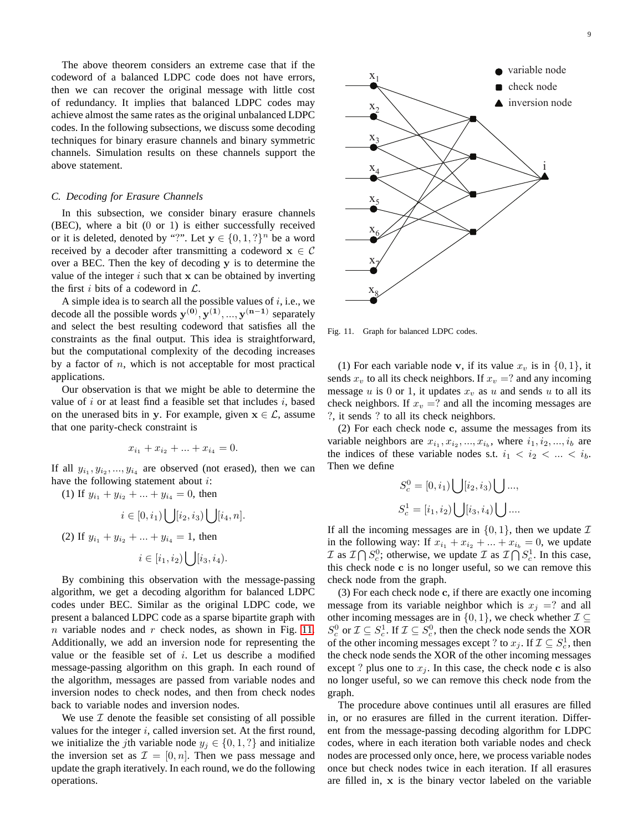The above theorem considers an extreme case that if the codeword of a balanced LDPC code does not have errors, then we can recover the original message with little cost of redundancy. It implies that balanced LDPC codes may achieve almost the same rates as the original unbalanced LDPC codes. In the following subsections, we discuss some decoding techniques for binary erasure channels and binary symmetric channels. Simulation results on these channels support the above statement.

# *C. Decoding for Erasure Channels*

In this subsection, we consider binary erasure channels (BEC), where a bit (0 or 1) is either successfully received or it is deleted, denoted by "?". Let  $y \in \{0, 1, ?\}^n$  be a word received by a decoder after transmitting a codeword  $x \in C$ over a BEC. Then the key of decoding y is to determine the value of the integer  $i$  such that  $x$  can be obtained by inverting the first i bits of a codeword in  $\mathcal{L}$ .

A simple idea is to search all the possible values of  $i$ , i.e., we decode all the possible words  $\mathbf{y}^{(0)}, \mathbf{y}^{(1)}, ..., \mathbf{y}^{(n-1)}$  separately and select the best resulting codeword that satisfies all the constraints as the final output. This idea is straightforward, but the computational complexity of the decoding increases by a factor of  $n$ , which is not acceptable for most practical applications.

Our observation is that we might be able to determine the value of i or at least find a feasible set that includes i, based on the unerased bits in y. For example, given  $x \in \mathcal{L}$ , assume that one parity-check constraint is

$$
x_{i_1} + x_{i_2} + \dots + x_{i_4} = 0.
$$

If all  $y_{i_1}, y_{i_2}, ..., y_{i_4}$  are observed (not erased), then we can have the following statement about i:

(1) If  $y_{i_1} + y_{i_2} + ... + y_{i_4} = 0$ , then

$$
i \in [0, i_1) \bigcup [i_2, i_3) \bigcup [i_4, n].
$$
  
(2) If  $y_{i_1} + y_{i_2} + \dots + y_{i_4} = 1$ , then  

$$
i \in [i_1, i_2) \bigcup [i_3, i_4).
$$

By combining this observation with the message-passing algorithm, we get a decoding algorithm for balanced LDPC codes under BEC. Similar as the original LDPC code, we present a balanced LDPC code as a sparse bipartite graph with  $n$  variable nodes and  $r$  check nodes, as shown in Fig. [11.](#page-8-0) Additionally, we add an inversion node for representing the value or the feasible set of  $i$ . Let us describe a modified message-passing algorithm on this graph. In each round of the algorithm, messages are passed from variable nodes and inversion nodes to check nodes, and then from check nodes back to variable nodes and inversion nodes.

We use  $I$  denote the feasible set consisting of all possible values for the integer  $i$ , called inversion set. At the first round, we initialize the jth variable node  $y_j \in \{0, 1, ?\}$  and initialize the inversion set as  $\mathcal{I} = [0, n]$ . Then we pass message and update the graph iteratively. In each round, we do the following operations.



<span id="page-8-0"></span>Fig. 11. Graph for balanced LDPC codes.

(1) For each variable node v, if its value  $x_v$  is in  $\{0, 1\}$ , it sends  $x_v$  to all its check neighbors. If  $x_v = ?$  and any incoming message  $u$  is 0 or 1, it updates  $x_v$  as  $u$  and sends  $u$  to all its check neighbors. If  $x_v = ?$  and all the incoming messages are ?, it sends ? to all its check neighbors.

(2) For each check node c, assume the messages from its variable neighbors are  $x_{i_1}, x_{i_2}, ..., x_{i_b}$ , where  $i_1, i_2, ..., i_b$  are the indices of these variable nodes s.t.  $i_1 < i_2 < ... < i_b$ . Then we define

$$
S_c^0 = [0, i_1) \bigcup [i_2, i_3) \bigcup \dots,
$$
  

$$
S_c^1 = [i_1, i_2) \bigcup [i_3, i_4) \bigcup \dots.
$$

If all the incoming messages are in  $\{0, 1\}$ , then we update  $\mathcal I$ in the following way: If  $x_{i_1} + x_{i_2} + \ldots + x_{i_b} = 0$ , we update  $\mathcal{I}$  as  $\mathcal{I} \bigcap S_c^0$ ; otherwise, we update  $\mathcal{I}$  as  $\mathcal{I} \bigcap S_c^1$ . In this case, this check node c is no longer useful, so we can remove this check node from the graph.

(3) For each check node c, if there are exactly one incoming message from its variable neighbor which is  $x_j = ?$  and all other incoming messages are in  $\{0, 1\}$ , we check whether  $\mathcal{I} \subseteq$  $S_c^0$  or  $\mathcal{I} \subseteq S_c^1$ . If  $\mathcal{I} \subseteq S_c^0$ , then the check node sends the XOR of the other incoming messages except ? to  $x_j$ . If  $\mathcal{I} \subseteq S_c^1$ , then the check node sends the XOR of the other incoming messages except ? plus one to  $x_j$ . In this case, the check node c is also no longer useful, so we can remove this check node from the graph.

The procedure above continues until all erasures are filled in, or no erasures are filled in the current iteration. Different from the message-passing decoding algorithm for LDPC codes, where in each iteration both variable nodes and check nodes are processed only once, here, we process variable nodes once but check nodes twice in each iteration. If all erasures are filled in, x is the binary vector labeled on the variable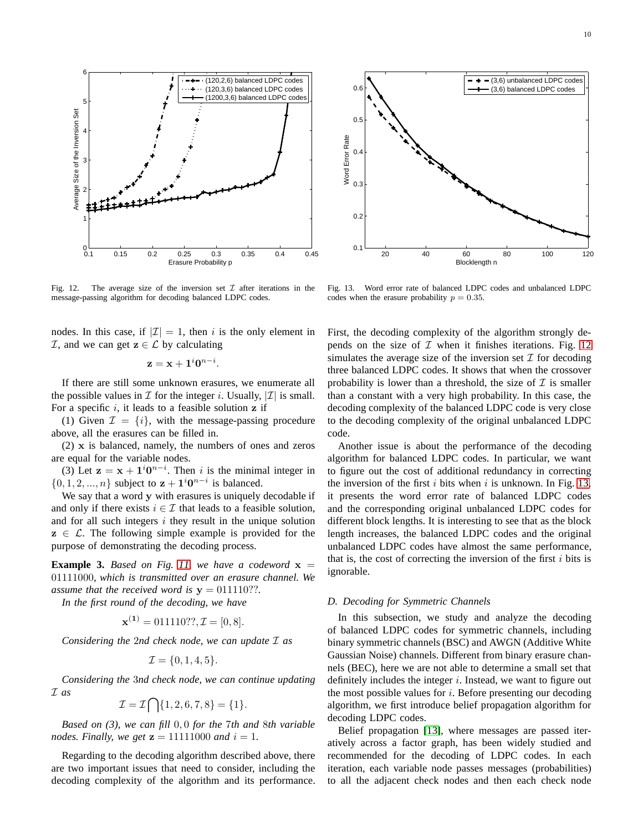Fig. 12. The average size of the inversion set  $\mathcal I$  after iterations in the Blocklength n Fig. 13. Word error rate of balanced LDPC codes and unbalanced LDPC

nodes. In this case, if  $|\mathcal{I}| = 1$ , then i is the only element in  $\mathcal{I}$ , and we can get  $z \in \mathcal{L}$  by calculating

<span id="page-9-0"></span>message-passing algorithm for decoding balanced LDPC codes.

$$
\mathbf{z} = \mathbf{x} + \mathbf{1}^i \mathbf{0}^{n-i}.
$$

If there are still some unknown erasures, we enumerate all the possible values in  $\mathcal I$  for the integer i. Usually,  $|\mathcal I|$  is small. For a specific  $i$ , it leads to a feasible solution z if

(1) Given  $\mathcal{I} = \{i\}$ , with the message-passing procedure above, all the erasures can be filled in.

(2) x is balanced, namely, the numbers of ones and zeros are equal for the variable nodes.

(3) Let  $z = x + 1<sup>i</sup>0<sup>n-i</sup>$ . Then i is the minimal integer in  $\{0, 1, 2, ..., n\}$  subject to  $z + 1<sup>i</sup>0<sup>n-i</sup>$  is balanced.

We say that a word y with erasures is uniquely decodable if and only if there exists  $i \in \mathcal{I}$  that leads to a feasible solution, and for all such integers  $i$  they result in the unique solution  $z \in \mathcal{L}$ . The following simple example is provided for the purpose of demonstrating the decoding process.

**Example 3.** *Based on Fig. [11,](#page-8-0) we have a codeword*  $x =$ 01111000*, which is transmitted over an erasure channel. We assume that the received word is*  $y = 011110$ ??.

*In the first round of the decoding, we have*

$$
\mathbf{x}^{(1)} = 011110??, \mathcal{I} = [0, 8].
$$

*Considering the* 2*nd check node, we can update* I *as*

$$
\mathcal{I} = \{0, 1, 4, 5\}.
$$

*Considering the* 3*nd check node, we can continue updating* I *as*

$$
\mathcal{I} = \mathcal{I} \bigcap \{1, 2, 6, 7, 8\} = \{1\}.
$$

*Based on (3), we can fill* 0, 0 *for the* 7*th and* 8*th variable nodes. Finally, we get*  $z = 11111000$  *and*  $i = 1$ *.* 

Regarding to the decoding algorithm described above, there are two important issues that need to consider, including the decoding complexity of the algorithm and its performance.

<span id="page-9-1"></span>codes when the erasure probability  $p = 0.35$ .

First, the decoding complexity of the algorithm strongly de-

pends on the size of  $I$  when it finishes iterations. Fig. [12](#page-9-0) simulates the average size of the inversion set  $\mathcal I$  for decoding three balanced LDPC codes. It shows that when the crossover probability is lower than a threshold, the size of  $\mathcal I$  is smaller than a constant with a very high probability. In this case, the decoding complexity of the balanced LDPC code is very close to the decoding complexity of the original unbalanced LDPC code.

Another issue is about the performance of the decoding algorithm for balanced LDPC codes. In particular, we want to figure out the cost of additional redundancy in correcting the inversion of the first  $i$  bits when  $i$  is unknown. In Fig. [13,](#page-9-1) it presents the word error rate of balanced LDPC codes and the corresponding original unbalanced LDPC codes for different block lengths. It is interesting to see that as the block length increases, the balanced LDPC codes and the original unbalanced LDPC codes have almost the same performance, that is, the cost of correcting the inversion of the first  $i$  bits is ignorable.

# *D. Decoding for Symmetric Channels*

In this subsection, we study and analyze the decoding of balanced LDPC codes for symmetric channels, including binary symmetric channels (BSC) and AWGN (Additive White Gaussian Noise) channels. Different from binary erasure channels (BEC), here we are not able to determine a small set that definitely includes the integer  $i$ . Instead, we want to figure out the most possible values for  $i$ . Before presenting our decoding algorithm, we first introduce belief propagation algorithm for decoding LDPC codes.

Belief propagation [\[13\]](#page-14-15), where messages are passed iteratively across a factor graph, has been widely studied and recommended for the decoding of LDPC codes. In each iteration, each variable node passes messages (probabilities) to all the adjacent check nodes and then each check node



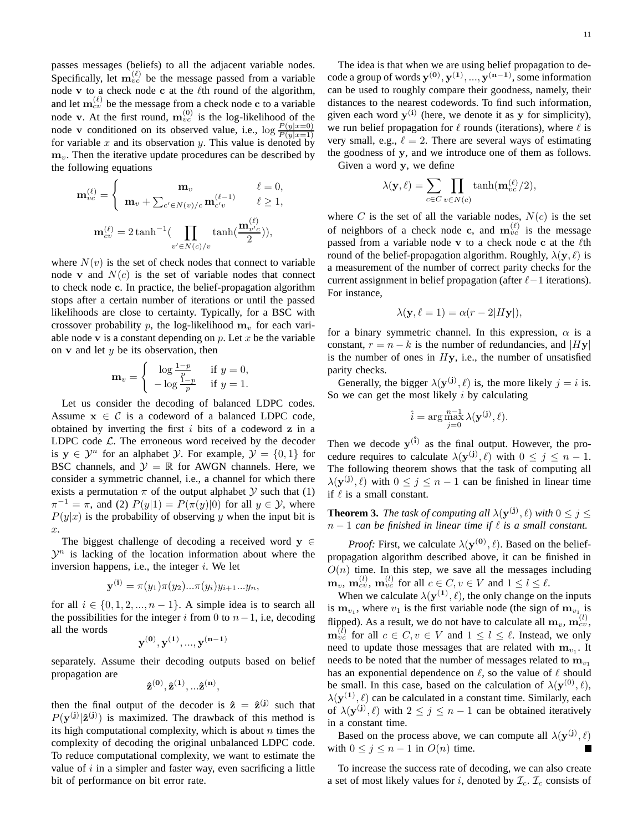passes messages (beliefs) to all the adjacent variable nodes. Specifically, let  $\mathbf{m}_{vc}^{(\ell)}$  be the message passed from a variable node v to a check node c at the  $\ell$ th round of the algorithm, and let  $\mathbf{m}_{cv}^{(\ell)}$  be the message from a check node c to a variable node v. At the first round,  $m_{vc}^{(0)}$  is the log-likelihood of the node v conditioned on its observed value, i.e.,  $\log \frac{P(y|x=0)}{P(y|x=1)}$ for variable  $x$  and its observation  $y$ . This value is denoted by  $m_v$ . Then the iterative update procedures can be described by the following equations

$$
\mathbf{m}_{vc}^{(\ell)} = \begin{cases} \mathbf{m}_{v} & \ell = 0, \\ \mathbf{m}_{v} + \sum_{c' \in N(v)/c} \mathbf{m}_{c'v}^{(\ell-1)} & \ell \ge 1, \end{cases}
$$

$$
\mathbf{m}_{cv}^{(\ell)} = 2 \tanh^{-1} (\prod_{v' \in N(c)/v} \tanh(\frac{\mathbf{m}_{v'c}^{(\ell)}}{2})),
$$

where  $N(v)$  is the set of check nodes that connect to variable node v and  $N(c)$  is the set of variable nodes that connect to check node c. In practice, the belief-propagation algorithm stops after a certain number of iterations or until the passed likelihoods are close to certainty. Typically, for a BSC with crossover probability p, the log-likelihood  $m<sub>v</sub>$  for each variable node v is a constant depending on  $p$ . Let  $x$  be the variable on  $\bf{v}$  and let  $y$  be its observation, then

$$
\mathbf{m}_v = \begin{cases} \log \frac{1-p}{p} & \text{if } y = 0, \\ -\log \frac{1-p}{p} & \text{if } y = 1. \end{cases}
$$

Let us consider the decoding of balanced LDPC codes. Assume  $x \in C$  is a codeword of a balanced LDPC code, obtained by inverting the first  $i$  bits of a codeword  $z$  in a LDPC code  $\mathcal{L}$ . The erroneous word received by the decoder is  $y \in \mathcal{Y}^n$  for an alphabet  $\mathcal{Y}$ . For example,  $\mathcal{Y} = \{0, 1\}$  for BSC channels, and  $\mathcal{Y} = \mathbb{R}$  for AWGN channels. Here, we consider a symmetric channel, i.e., a channel for which there exists a permutation  $\pi$  of the output alphabet  $\mathcal Y$  such that (1)  $\pi^{-1} = \pi$ , and (2)  $P(y|1) = P(\pi(y)|0)$  for all  $y \in \mathcal{Y}$ , where  $P(y|x)$  is the probability of observing y when the input bit is x.

The biggest challenge of decoding a received word  $y \in$  $\mathcal{Y}^n$  is lacking of the location information about where the inversion happens, i.e., the integer  $i$ . We let

$$
\mathbf{y}^{(i)} = \pi(y_1)\pi(y_2)\dots\pi(y_i)y_{i+1}\dots y_n,
$$

for all  $i \in \{0, 1, 2, ..., n-1\}$ . A simple idea is to search all the possibilities for the integer i from 0 to  $n-1$ , i.e, decoding all the words

$$
\mathbf{y}^{(0)}, \mathbf{y}^{(1)}, ..., \mathbf{y}^{(n-1)}
$$

separately. Assume their decoding outputs based on belief propagation are

$$
\mathbf{\hat{z}^{(0)},\hat{z}^{(1)},...\hat{z}^{(n)}},
$$

then the final output of the decoder is  $\hat{z} = \hat{z}^{(j)}$  such that  $P(\mathbf{y}^{(j)}|\hat{\mathbf{z}}^{(j)})$  is maximized. The drawback of this method is its high computational complexity, which is about  $n$  times the complexity of decoding the original unbalanced LDPC code. To reduce computational complexity, we want to estimate the value of  $i$  in a simpler and faster way, even sacrificing a little bit of performance on bit error rate.

The idea is that when we are using belief propagation to decode a group of words  $\mathbf{y^{(0)}, y^{(1)}, ..., y^{(n-1)}}$ , some information can be used to roughly compare their goodness, namely, their distances to the nearest codewords. To find such information, given each word  $y^{(i)}$  (here, we denote it as y for simplicity), we run belief propagation for  $\ell$  rounds (iterations), where  $\ell$  is very small, e.g.,  $\ell = 2$ . There are several ways of estimating the goodness of y, and we introduce one of them as follows.

Given a word y, we define

$$
\lambda(\mathbf{y}, \ell) = \sum_{c \in C} \prod_{v \in N(c)} \tanh(\mathbf{m}_{vc}^{(\ell)}/2),
$$

where C is the set of all the variable nodes,  $N(c)$  is the set of neighbors of a check node c, and  $m_{vc}^{(\ell)}$  is the message passed from a variable node v to a check node c at the  $\ell$ th round of the belief-propagation algorithm. Roughly,  $\lambda(\mathbf{y}, \ell)$  is a measurement of the number of correct parity checks for the current assignment in belief propagation (after  $\ell-1$  iterations). For instance,

$$
\lambda(\mathbf{y}, \ell = 1) = \alpha(r - 2|H\mathbf{y}|),
$$

for a binary symmetric channel. In this expression,  $\alpha$  is a constant,  $r = n - k$  is the number of redundancies, and |Hy| is the number of ones in  $Hy$ , i.e., the number of unsatisfied parity checks.

Generally, the bigger  $\lambda(\mathbf{y}^{(j)}, \ell)$  is, the more likely  $j = i$  is. So we can get the most likely  $i$  by calculating

$$
\hat{i} = \arg \max_{j=0}^{n-1} \lambda(\mathbf{y}^{(j)}, \ell).
$$

Then we decode  $y^{(\hat{i})}$  as the final output. However, the procedure requires to calculate  $\lambda(\mathbf{y}^{(j)}, \ell)$  with  $0 \leq j \leq n-1$ . The following theorem shows that the task of computing all  $\lambda(\mathbf{y}^{(j)}, \ell)$  with  $0 \leq j \leq n-1$  can be finished in linear time if  $\ell$  is a small constant.

**Theorem 3.** *The task of computing all*  $\lambda(\mathbf{y}^{(j)}, \ell)$  *with*  $0 \leq j \leq$  $n-1$  *can be finished in linear time if*  $\ell$  *is a small constant.* 

*Proof:* First, we calculate  $\lambda(\mathbf{y}^{(0)}, \ell)$ . Based on the beliefpropagation algorithm described above, it can be finished in  $O(n)$  time. In this step, we save all the messages including  $\mathbf{m}_v$ ,  $\mathbf{m}_{cv}^{(l)}$ ,  $\mathbf{m}_{vc}^{(l)}$  for all  $c \in C, v \in V$  and  $1 \le l \le l$ .

When we calculate  $\lambda(\mathbf{y}^{(1)}, \ell)$ , the only change on the inputs is  $m_{v_1}$ , where  $v_1$  is the first variable node (the sign of  $m_{v_1}$  is flipped). As a result, we do not have to calculate all  $\mathbf{m}_v, \mathbf{m}_{cv}^{(l)},$  $\mathbf{m}_{vc}^{(l)}$  for all  $c \in C, v \in V$  and  $1 \leq l \leq \ell$ . Instead, we only need to update those messages that are related with  $m_{v_1}$ . It needs to be noted that the number of messages related to  $\mathbf{m}_{v_1}$ has an exponential dependence on  $\ell$ , so the value of  $\ell$  should be small. In this case, based on the calculation of  $\lambda(\mathbf{y}^{(0)}, \ell)$ ,  $\lambda(\mathbf{y}^{(1)}, \ell)$  can be calculated in a constant time. Similarly, each of  $\lambda(\mathbf{y}^{(j)}, \ell)$  with  $2 \leq j \leq n-1$  can be obtained iteratively in a constant time.

Based on the process above, we can compute all  $\lambda(\mathbf{y}^{(j)},\ell)$ with  $0 \leq j \leq n-1$  in  $O(n)$  time.

To increase the success rate of decoding, we can also create a set of most likely values for i, denoted by  $\mathcal{I}_c$ .  $\mathcal{I}_c$  consists of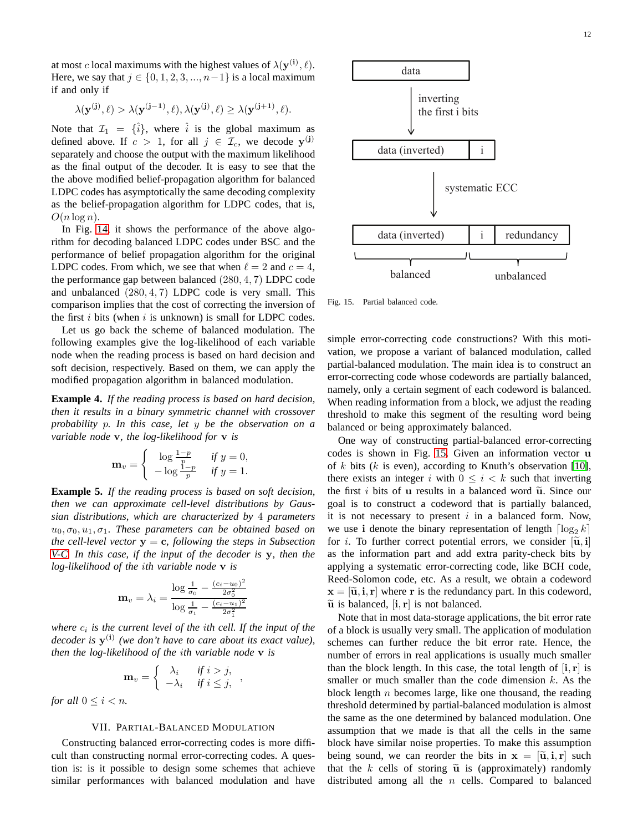at most c local maximums with the highest values of  $\lambda(\mathbf{y^{(i)}}, \ell)$ . Here, we say that  $j \in \{0, 1, 2, 3, ..., n-1\}$  is a local maximum if and only if

$$
\lambda(\mathbf{y}^{(\mathbf{j})}, \ell) > \lambda(\mathbf{y}^{(\mathbf{j}-1)}, \ell), \lambda(\mathbf{y}^{(\mathbf{j})}, \ell) \geq \lambda(\mathbf{y}^{(\mathbf{j}+1)}, \ell).
$$

Note that  $\mathcal{I}_1 = {\hat{i}}$ , where  $\hat{i}$  is the global maximum as defined above. If  $c > 1$ , for all  $j \in \mathcal{I}_c$ , we decode  $\mathbf{y}^{(j)}$ separately and choose the output with the maximum likelihood as the final output of the decoder. It is easy to see that the the above modified belief-propagation algorithm for balanced LDPC codes has asymptotically the same decoding complexity as the belief-propagation algorithm for LDPC codes, that is,  $O(n \log n)$ .

In Fig. [14,](#page-12-1) it shows the performance of the above algorithm for decoding balanced LDPC codes under BSC and the performance of belief propagation algorithm for the original LDPC codes. From which, we see that when  $\ell = 2$  and  $c = 4$ , the performance gap between balanced (280, 4, 7) LDPC code and unbalanced  $(280, 4, 7)$  LDPC code is very small. This comparison implies that the cost of correcting the inversion of the first  $i$  bits (when  $i$  is unknown) is small for LDPC codes.

Let us go back the scheme of balanced modulation. The following examples give the log-likelihood of each variable node when the reading process is based on hard decision and soft decision, respectively. Based on them, we can apply the modified propagation algorithm in balanced modulation.

**Example 4.** *If the reading process is based on hard decision, then it results in a binary symmetric channel with crossover probability* p*. In this case, let* y *be the observation on a variable node* v*, the log-likelihood for* v *is*

$$
\mathbf{m}_v = \begin{cases} \log \frac{1-p}{p} & \text{if } y = 0, \\ -\log \frac{1-p}{p} & \text{if } y = 1. \end{cases}
$$

**Example 5.** *If the reading process is based on soft decision, then we can approximate cell-level distributions by Gaussian distributions, which are characterized by* 4 *parameters*  $u_0, \sigma_0, u_1, \sigma_1$ . These parameters can be obtained based on *the cell-level vector*  $y = c$ , *following the steps in Subsection [V-C.](#page-5-1) In this case, if the input of the decoder is* y*, then the log-likelihood of the* i*th variable node* v *is*

$$
\mathbf{m}_{v} = \lambda_{i} = \frac{\log \frac{1}{\sigma_{0}} - \frac{(c_{i} - u_{0})^{2}}{2\sigma_{0}^{2}}}{\log \frac{1}{\sigma_{1}} - \frac{(c_{i} - u_{1})^{2}}{2\sigma_{1}^{2}}}
$$

*where*  $c_i$  *is the current level of the ith cell. If the input of the* decoder is  $y^{(i)}$  (we don't have to care about its exact value), *then the log-likelihood of the* i*th variable node* v *is*

$$
\mathbf{m}_{v} = \begin{cases} \lambda_{i} & \text{if } i > j, \\ -\lambda_{i} & \text{if } i \leq j, \end{cases}
$$

<span id="page-11-0"></span>*for all*  $0 \leq i < n$ *.* 

# VII. PARTIAL-BALANCED MODULATION

Constructing balanced error-correcting codes is more difficult than constructing normal error-correcting codes. A question is: is it possible to design some schemes that achieve similar performances with balanced modulation and have



<span id="page-11-1"></span>Fig. 15. Partial balanced code.

simple error-correcting code constructions? With this motivation, we propose a variant of balanced modulation, called partial-balanced modulation. The main idea is to construct an error-correcting code whose codewords are partially balanced, namely, only a certain segment of each codeword is balanced. When reading information from a block, we adjust the reading threshold to make this segment of the resulting word being balanced or being approximately balanced.

One way of constructing partial-balanced error-correcting codes is shown in Fig. [15.](#page-11-1) Given an information vector u of k bits (k is even), according to Knuth's observation [\[10\]](#page-14-4), there exists an integer i with  $0 \leq i < k$  such that inverting the first  $i$  bits of u results in a balanced word  $\tilde{u}$ . Since our goal is to construct a codeword that is partially balanced, it is not necessary to present  $i$  in a balanced form. Now, we use i denote the binary representation of length  $\lceil \log_2 k \rceil$ for *i*. To further correct potential errors, we consider  $[\tilde{u}, i]$ as the information part and add extra parity-check bits by applying a systematic error-correcting code, like BCH code, Reed-Solomon code, etc. As a result, we obtain a codeword  $\mathbf{x} = [\tilde{\mathbf{u}}, \mathbf{i}, \mathbf{r}]$  where r is the redundancy part. In this codeword,  $\tilde{u}$  is balanced,  $[i, r]$  is not balanced.

Note that in most data-storage applications, the bit error rate of a block is usually very small. The application of modulation schemes can further reduce the bit error rate. Hence, the number of errors in real applications is usually much smaller than the block length. In this case, the total length of  $[i, r]$  is smaller or much smaller than the code dimension  $k$ . As the block length  $n$  becomes large, like one thousand, the reading threshold determined by partial-balanced modulation is almost the same as the one determined by balanced modulation. One assumption that we made is that all the cells in the same block have similar noise properties. To make this assumption being sound, we can reorder the bits in  $x = [\tilde{u}, i, r]$  such that the k cells of storing  $\tilde{u}$  is (approximately) randomly distributed among all the  $n$  cells. Compared to balanced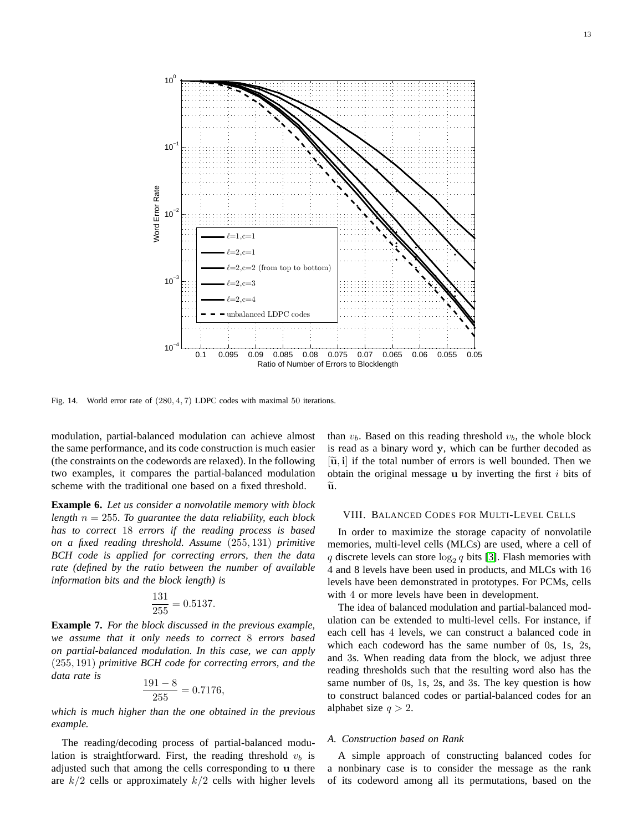

<span id="page-12-1"></span>Fig. 14. World error rate of (280, 4, 7) LDPC codes with maximal 50 iterations.

modulation, partial-balanced modulation can achieve almost the same performance, and its code construction is much easier (the constraints on the codewords are relaxed). In the following two examples, it compares the partial-balanced modulation scheme with the traditional one based on a fixed threshold.

**Example 6.** *Let us consider a nonvolatile memory with block length*  $n = 255$ *. To guarantee the data reliability, each block has to correct* 18 *errors if the reading process is based on a fixed reading threshold. Assume* (255, 131) *primitive BCH code is applied for correcting errors, then the data rate (defined by the ratio between the number of available information bits and the block length) is*

$$
\frac{131}{255} = 0.5137.
$$

**Example 7.** *For the block discussed in the previous example, we assume that it only needs to correct* 8 *errors based on partial-balanced modulation. In this case, we can apply* (255, 191) *primitive BCH code for correcting errors, and the data rate is*

$$
\frac{191 - 8}{255} = 0.7176,
$$

*which is much higher than the one obtained in the previous example.*

The reading/decoding process of partial-balanced modulation is straightforward. First, the reading threshold  $v<sub>b</sub>$  is adjusted such that among the cells corresponding to u there are  $k/2$  cells or approximately  $k/2$  cells with higher levels than  $v_b$ . Based on this reading threshold  $v_b$ , the whole block is read as a binary word y, which can be further decoded as  $[\tilde{u}, i]$  if the total number of errors is well bounded. Then we obtain the original message  $\bf{u}$  by inverting the first i bits of  $\widetilde{\mathbf{u}}$ .

## <span id="page-12-0"></span>VIII. BALANCED CODES FOR MULTI-LEVEL CELLS

In order to maximize the storage capacity of nonvolatile memories, multi-level cells (MLCs) are used, where a cell of q discrete levels can store  $\log_2 q$  bits [\[3\]](#page-14-9). Flash memories with 4 and 8 levels have been used in products, and MLCs with 16 levels have been demonstrated in prototypes. For PCMs, cells with 4 or more levels have been in development.

The idea of balanced modulation and partial-balanced modulation can be extended to multi-level cells. For instance, if each cell has 4 levels, we can construct a balanced code in which each codeword has the same number of 0s, 1s, 2s, and 3s. When reading data from the block, we adjust three reading thresholds such that the resulting word also has the same number of 0s, 1s, 2s, and 3s. The key question is how to construct balanced codes or partial-balanced codes for an alphabet size  $q > 2$ .

#### *A. Construction based on Rank*

A simple approach of constructing balanced codes for a nonbinary case is to consider the message as the rank of its codeword among all its permutations, based on the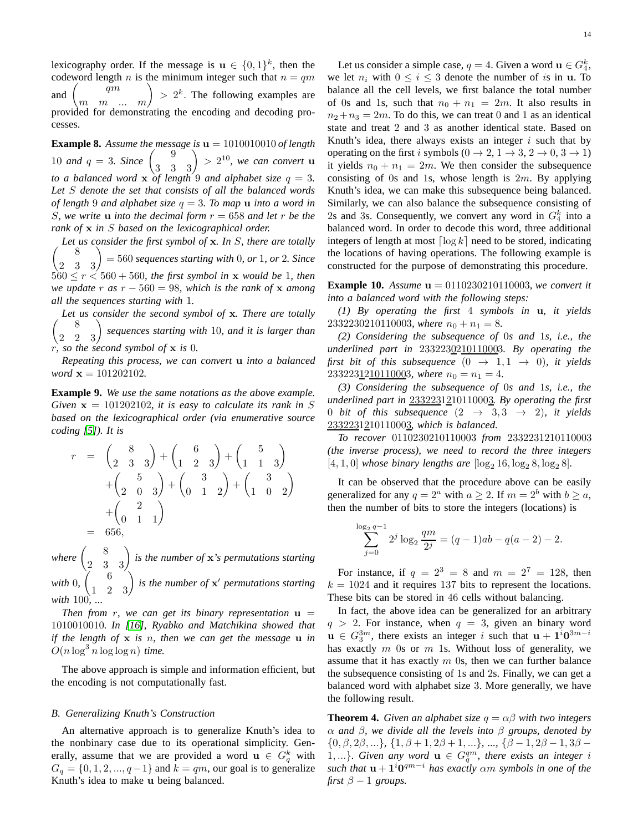lexicography order. If the message is  $\mathbf{u} \in \{0,1\}^k$ , then the codeword length n is the minimum integer such that  $n = qm$ and  $\begin{pmatrix} qm \\ m & m \end{pmatrix} > 2^k$ . The following examples are provided for demonstrating the encoding and decoding processes.

**Example 8.** Assume the message is  $\mathbf{u} = 1010010010$  of length 10 *and*  $q = 3$ *. Since*  $\binom{9}{3}, \binom{9}{3}$  > 2<sup>10</sup>*, we can convert* **u** *to a balanced word* x *of length* 9 *and alphabet size* q = 3*. Let* S *denote the set that consists of all the balanced words of length* 9 *and alphabet size*  $q = 3$ *. To map* **u** *into a word in S*, we write **u** into the decimal form  $r = 658$  and let r be the *rank of* x *in* S *based on the lexicographical order.*

 *Let us consider the first symbol of* <sup>x</sup>*. In* <sup>S</sup>*, there are totally*  $\begin{pmatrix} 8 \\ 2 & 3 & 3 \end{pmatrix}$ = 560 *sequences starting with* 0*, or* 1*, or* 2*. Since*  $560 \le r \le 560 + 560$ , the first symbol in **x** would be 1, then *we update*  $r$  *as*  $r - 560 = 98$ *, which is the rank of*  $\bf{x}$  *among all the sequences starting with* 1*.*

 $\begin{pmatrix} 8 \\ 2 & 2 \end{pmatrix}$  sequences starting with 10*, and it is larger than Let us consider the second symbol of* x*. There are totally* r*, so the second symbol of* x *is* 0*.*

*Repeating this process, we can convert* u *into a balanced word*  $x = 101202102$ .

**Example 9.** *We use the same notations as the above example. Given*  $x = 101202102$ *, it is easy to calculate its rank in S based on the lexicographical order (via enumerative source coding [\[5\]](#page-14-19)). It is*

$$
r = \begin{pmatrix} 8 \\ 2 & 3 & 3 \end{pmatrix} + \begin{pmatrix} 6 \\ 1 & 2 & 3 \end{pmatrix} + \begin{pmatrix} 5 \\ 1 & 1 & 3 \end{pmatrix} + \begin{pmatrix} 5 \\ 2 & 0 & 3 \end{pmatrix} + \begin{pmatrix} 3 \\ 0 & 1 & 2 \end{pmatrix} + \begin{pmatrix} 3 \\ 1 & 0 & 2 \end{pmatrix} + \begin{pmatrix} 2 \\ 0 & 1 & 1 \end{pmatrix} = 656,
$$

where  $\begin{pmatrix} 8 \\ 2 & 3 \end{pmatrix}$  *is the number of* **x***'s permutations starting with* 0*,*  $\begin{pmatrix} 6 & 6 \\ 1 & 2 & 3 \end{pmatrix}$  is the number of **x'** permutations starting *with* 100*, ...*

*Then from r, we can get its binary representation*  $\mathbf{u} =$ 1010010010*. In [\[16\]](#page-14-20), Ryabko and Matchikina showed that if the length of* x *is* n*, then we can get the message* u *in*  $O(n \log^3 n \log \log n)$  *time.* 

The above approach is simple and information efficient, but the encoding is not computationally fast.

#### *B. Generalizing Knuth's Construction*

An alternative approach is to generalize Knuth's idea to the nonbinary case due to its operational simplicity. Generally, assume that we are provided a word  $\mathbf{u} \in G_q^k$  with  $G_q = \{0, 1, 2, \ldots, q-1\}$  and  $k = qm$ , our goal is to generalize Knuth's idea to make u being balanced.

Let us consider a simple case,  $q = 4$ . Given a word  $\mathbf{u} \in G_4^k$ , we let  $n_i$  with  $0 \le i \le 3$  denote the number of is in u. To balance all the cell levels, we first balance the total number of 0s and 1s, such that  $n_0 + n_1 = 2m$ . It also results in  $n_2+n_3=2m$ . To do this, we can treat 0 and 1 as an identical state and treat 2 and 3 as another identical state. Based on Knuth's idea, there always exists an integer  $i$  such that by operating on the first i symbols  $(0 \rightarrow 2, 1 \rightarrow 3, 2 \rightarrow 0, 3 \rightarrow 1)$ it yields  $n_0 + n_1 = 2m$ . We then consider the subsequence consisting of 0s and 1s, whose length is  $2m$ . By applying Knuth's idea, we can make this subsequence being balanced. Similarly, we can also balance the subsequence consisting of 2s and 3s. Consequently, we convert any word in  $G_4^k$  into a balanced word. In order to decode this word, three additional integers of length at most  $\lceil \log k \rceil$  need to be stored, indicating the locations of having operations. The following example is constructed for the purpose of demonstrating this procedure.

**Example 10.** *Assume* u = 0110230210110003*, we convert it into a balanced word with the following steps:*

*(1) By operating the first* 4 *symbols in* u*, it yields* 2332230210110003*, where*  $n_0 + n_1 = 8$ *.* 

*(2) Considering the subsequence of* 0*s and* 1*s, i.e., the underlined part in* 2332230210110003*. By operating the first bit of this subsequence*  $(0 \rightarrow 1, 1 \rightarrow 0)$ *, it yields* 233223<u>121011000</u>3*, where*  $n_0 = n_1 = 4$ *.* 

*(3) Considering the subsequence of* 0*s and* 1*s, i.e., the underlined part in* 2332231210110003*. By operating the first* 0 *bit of this subsequence*  $(2 \rightarrow 3, 3 \rightarrow 2)$ *, it yields* 2332231210110003*, which is balanced.*

*To recover* 0110230210110003 *from* 2332231210110003 *(the inverse process), we need to record the three integers*  $[4, 1, 0]$  *whose binary lengths are*  $[\log_2 16, \log_2 8, \log_2 8]$ .

It can be observed that the procedure above can be easily generalized for any  $q = 2^a$  with  $a \ge 2$ . If  $m = 2^b$  with  $b \ge a$ , then the number of bits to store the integers (locations) is

$$
\sum_{j=0}^{\log_2 q - 1} 2^j \log_2 \frac{qm}{2^j} = (q - 1)ab - q(a - 2) - 2.
$$

For instance, if  $q = 2^3 = 8$  and  $m = 2^7 = 128$ , then  $k = 1024$  and it requires 137 bits to represent the locations. These bits can be stored in 46 cells without balancing.

In fact, the above idea can be generalized for an arbitrary  $q > 2$ . For instance, when  $q = 3$ , given an binary word  $u \in G_3^{3m}$ , there exists an integer i such that  $u + 1^i 0^{3m-i}$ has exactly  $m$  0s or  $m$  1s. Without loss of generality, we assume that it has exactly  $m$  0s, then we can further balance the subsequence consisting of 1s and 2s. Finally, we can get a balanced word with alphabet size 3. More generally, we have the following result.

**Theorem 4.** *Given an alphabet size*  $q = \alpha\beta$  *with two integers* α *and* β*, we divide all the levels into* β *groups, denoted by*  $\{0, \beta, 2\beta, ...\}, \{1, \beta + 1, 2\beta + 1, ...\}, ..., \{\beta - 1, 2\beta - 1, 3\beta - \beta\}$ 1,...}. Given any word  $\mathbf{u} \in G_q^{qm}$ , there exists an integer i such that  $u + 1<sup>i</sup>0<sup>qm-i</sup>$  has exactly  $\alpha m$  symbols in one of the *first*  $\beta - 1$  *groups.*